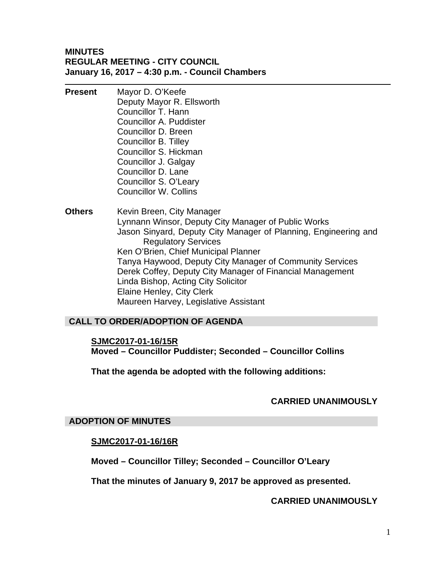#### **MINUTES REGULAR MEETING - CITY COUNCIL January 16, 2017 – 4:30 p.m. - Council Chambers**

- **Present** Mayor D. O'Keefe Deputy Mayor R. Ellsworth Councillor T. Hann Councillor A. Puddister Councillor D. Breen Councillor B. Tilley Councillor S. Hickman Councillor J. Galgay Councillor D. Lane Councillor S. O'Leary Councillor W. Collins
- **Others** Kevin Breen, City Manager Lynnann Winsor, Deputy City Manager of Public Works Jason Sinyard, Deputy City Manager of Planning, Engineering and Regulatory Services Ken O'Brien, Chief Municipal Planner Tanya Haywood, Deputy City Manager of Community Services Derek Coffey, Deputy City Manager of Financial Management Linda Bishop, Acting City Solicitor Elaine Henley, City Clerk Maureen Harvey, Legislative Assistant

#### **CALL TO ORDER/ADOPTION OF AGENDA**

**SJMC2017-01-16/15R Moved – Councillor Puddister; Seconded – Councillor Collins** 

**That the agenda be adopted with the following additions:** 

#### **CARRIED UNANIMOUSLY**

#### **ADOPTION OF MINUTES**

#### **SJMC2017-01-16/16R**

**Moved – Councillor Tilley; Seconded – Councillor O'Leary** 

**That the minutes of January 9, 2017 be approved as presented.** 

#### **CARRIED UNANIMOUSLY**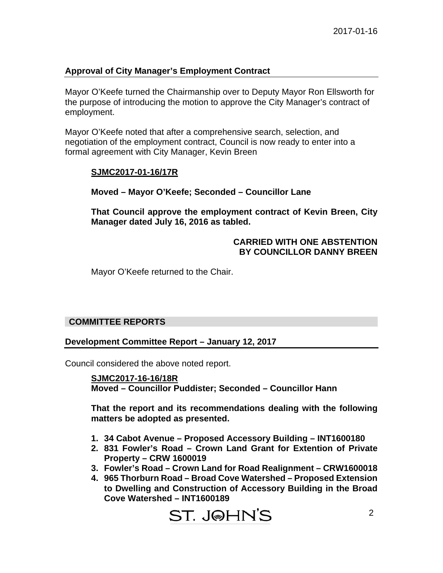#### **Approval of City Manager's Employment Contract**

Mayor O'Keefe turned the Chairmanship over to Deputy Mayor Ron Ellsworth for the purpose of introducing the motion to approve the City Manager's contract of employment.

Mayor O'Keefe noted that after a comprehensive search, selection, and negotiation of the employment contract, Council is now ready to enter into a formal agreement with City Manager, Kevin Breen

#### **SJMC2017-01-16/17R**

**Moved – Mayor O'Keefe; Seconded – Councillor Lane** 

**That Council approve the employment contract of Kevin Breen, City Manager dated July 16, 2016 as tabled.** 

#### **CARRIED WITH ONE ABSTENTION BY COUNCILLOR DANNY BREEN**

Mayor O'Keefe returned to the Chair.

#### **COMMITTEE REPORTS**

#### **Development Committee Report – January 12, 2017**

Council considered the above noted report.

**SJMC2017-16-16/18R Moved – Councillor Puddister; Seconded – Councillor Hann** 

**That the report and its recommendations dealing with the following matters be adopted as presented.** 

- **1. 34 Cabot Avenue Proposed Accessory Building INT1600180**
- **2. 831 Fowler's Road Crown Land Grant for Extention of Private Property – CRW 1600019**
- **3. Fowler's Road Crown Land for Road Realignment CRW1600018**
- **4. 965 Thorburn Road Broad Cove Watershed Proposed Extension to Dwelling and Construction of Accessory Building in the Broad Cove Watershed – INT1600189**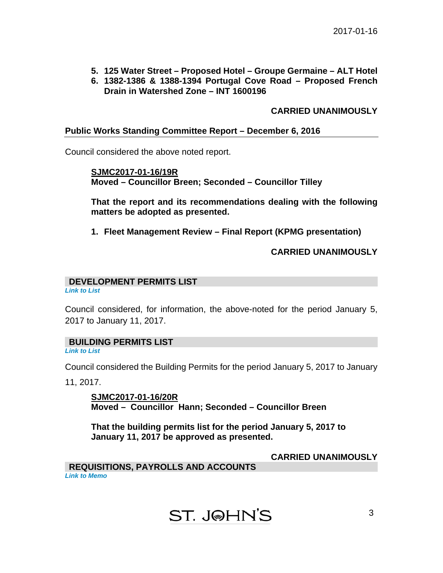- **5. 125 Water Street Proposed Hotel Groupe Germaine ALT Hotel**
- **6. 1382-1386 & 1388-1394 Portugal Cove Road Proposed French Drain in Watershed Zone – INT 1600196**

#### **CARRIED UNANIMOUSLY**

#### **Public Works Standing Committee Report – December 6, 2016**

Council considered the above noted report.

**SJMC2017-01-16/19R Moved – Councillor Breen; Seconded – Councillor Tilley** 

**That the report and its recommendations dealing with the following matters be adopted as presented.** 

**1. Fleet Management Review – Final Report (KPMG presentation)** 

#### **CARRIED UNANIMOUSLY**

#### **DEVELOPMENT PERMITS LIST**

*[Link to List](#page-6-0)* 

Council considered, for information, the above-noted for the period January 5, 2017 to January 11, 2017.

#### **BUILDING PERMITS LIST**

*[Link to List](#page-7-0)* 

Council considered the Building Permits for the period January 5, 2017 to January

11, 2017.

**SJMC2017-01-16/20R Moved – Councillor Hann; Seconded – Councillor Breen** 

**That the building permits list for the period January 5, 2017 to January 11, 2017 be approved as presented.** 

**CARRIED UNANIMOUSLY** 

**REQUISITIONS, PAYROLLS AND ACCOUNTS**  *[Link to Memo](#page-9-0)* 

## ST. J@HN'S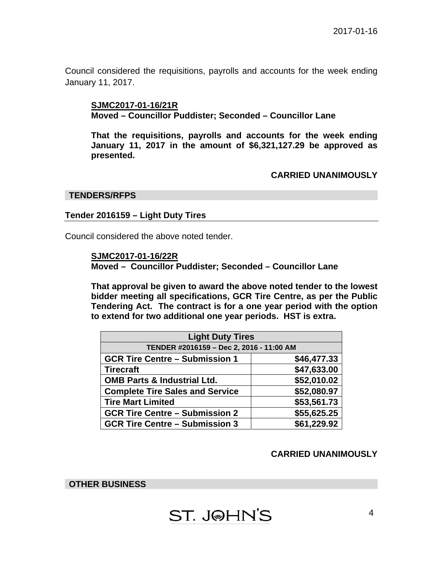Council considered the requisitions, payrolls and accounts for the week ending January 11, 2017.

#### **SJMC2017-01-16/21R Moved – Councillor Puddister; Seconded – Councillor Lane**

**That the requisitions, payrolls and accounts for the week ending January 11, 2017 in the amount of \$6,321,127.29 be approved as presented.** 

#### **CARRIED UNANIMOUSLY**

#### **TENDERS/RFPS**

#### **Tender 2016159 – Light Duty Tires**

Council considered the above noted tender.

**SJMC2017-01-16/22R**

**Moved – Councillor Puddister; Seconded – Councillor Lane** 

**That approval be given to award the above noted tender to the lowest bidder meeting all specifications, GCR Tire Centre, as per the Public Tendering Act. The contract is for a one year period with the option to extend for two additional one year periods. HST is extra.** 

| <b>Light Duty Tires</b>                  |             |
|------------------------------------------|-------------|
| TENDER #2016159 - Dec 2, 2016 - 11:00 AM |             |
| <b>GCR Tire Centre - Submission 1</b>    | \$46,477.33 |
| <b>Tirecraft</b>                         | \$47,633.00 |
| <b>OMB Parts &amp; Industrial Ltd.</b>   | \$52,010.02 |
| <b>Complete Tire Sales and Service</b>   | \$52,080.97 |
| <b>Tire Mart Limited</b>                 | \$53,561.73 |
| <b>GCR Tire Centre - Submission 2</b>    | \$55,625.25 |
| <b>GCR Tire Centre - Submission 3</b>    | \$61,229.92 |

#### **CARRIED UNANIMOUSLY**

**OTHER BUSINESS** 

# **ST. J@HN'S**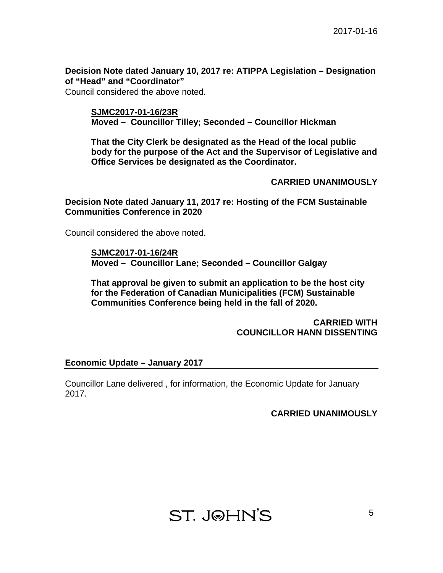**Decision Note dated January 10, 2017 re: ATIPPA Legislation – Designation of "Head" and "Coordinator"** 

Council considered the above noted.

**SJMC2017-01-16/23R Moved – Councillor Tilley; Seconded – Councillor Hickman** 

**That the City Clerk be designated as the Head of the local public body for the purpose of the Act and the Supervisor of Legislative and Office Services be designated as the Coordinator.** 

#### **CARRIED UNANIMOUSLY**

**Decision Note dated January 11, 2017 re: Hosting of the FCM Sustainable Communities Conference in 2020** 

Council considered the above noted.

**SJMC2017-01-16/24R Moved – Councillor Lane; Seconded – Councillor Galgay** 

**That approval be given to submit an application to be the host city for the Federation of Canadian Municipalities (FCM) Sustainable Communities Conference being held in the fall of 2020.** 

#### **CARRIED WITH COUNCILLOR HANN DISSENTING**

#### **Economic Update – January 2017**

Councillor Lane delivered , for information, the Economic Update for January 2017.

#### **CARRIED UNANIMOUSLY**

**ST. J@HN'S**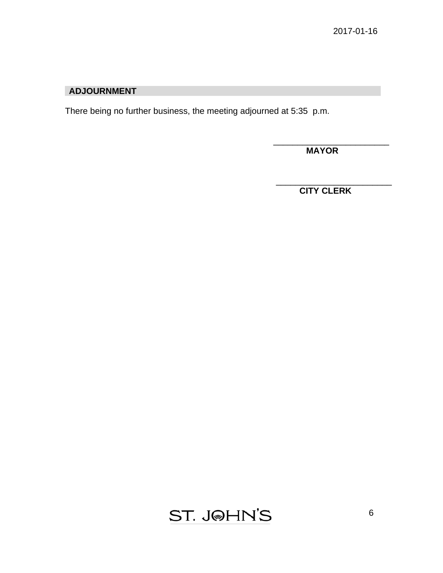### **ADJOURNMENT**

There being no further business, the meeting adjourned at 5:35 p.m.

 **MAYOR** 

\_\_\_\_\_\_\_\_\_\_\_\_\_\_\_\_\_\_\_\_\_\_\_\_

\_\_\_\_\_\_\_\_\_\_\_\_\_\_\_\_\_\_\_\_\_\_\_\_

 **CITY CLERK** 

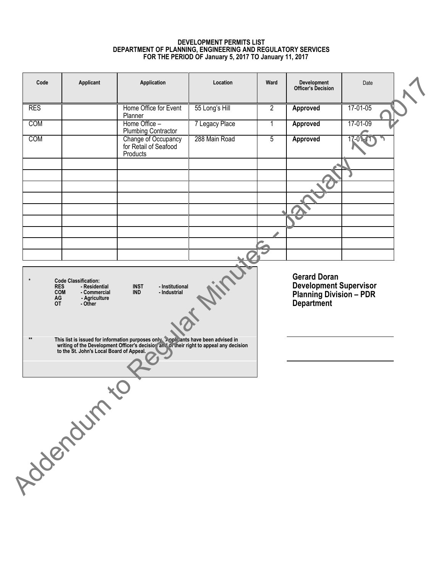#### **DEVELOPMENT PERMITS LIST DEPARTMENT OF PLANNING, ENGINEERING AND REGULATORY SERVICES FOR THE PERIOD OF January 5, 2017 TO January 11, 2017**

<span id="page-6-0"></span>

| Code                  | Applicant                                              | Application                                                                                                                                                                  | Location       | Ward           | Development<br><b>Officer's Decision</b>             | Date     |  |
|-----------------------|--------------------------------------------------------|------------------------------------------------------------------------------------------------------------------------------------------------------------------------------|----------------|----------------|------------------------------------------------------|----------|--|
| <b>RES</b>            |                                                        | Home Office for Event<br>Planner                                                                                                                                             | 55 Long's Hill | $\overline{2}$ | Approved                                             | 17-01-05 |  |
| COM                   |                                                        | Home Office -<br><b>Plumbing Contractor</b>                                                                                                                                  | 7 Legacy Place | 1              | Approved                                             | 17-01-09 |  |
| <b>COM</b>            |                                                        | Change of Occupancy<br>for Retail of Seafood<br>Products                                                                                                                     | 288 Main Road  | $\overline{5}$ | Approved                                             | 17-0     |  |
|                       |                                                        |                                                                                                                                                                              |                |                |                                                      |          |  |
|                       |                                                        |                                                                                                                                                                              |                |                |                                                      |          |  |
|                       |                                                        |                                                                                                                                                                              |                |                |                                                      |          |  |
|                       |                                                        |                                                                                                                                                                              |                |                |                                                      |          |  |
|                       |                                                        |                                                                                                                                                                              |                |                |                                                      |          |  |
|                       |                                                        |                                                                                                                                                                              |                |                |                                                      |          |  |
| $\star$<br><b>RES</b> | <b>Code Classification:</b><br>- Residential           | - Institutional<br><b>INST</b>                                                                                                                                               |                |                | <b>Gerard Doran</b><br><b>Development Supervisor</b> |          |  |
| AG<br><b>OT</b>       | <b>COM</b><br>- Commercial<br>- Agriculture<br>- Other | <b>IND</b><br>- Industrial                                                                                                                                                   |                |                | <b>Planning Division - PDR</b><br><b>Department</b>  |          |  |
| $\star\star$          | to the St. John's Local Board of Appeal.               | This list is issued for information purposes only poplicants have been advised in<br>writing of the Development Officer's decisior and or their right to appeal any decision |                |                |                                                      |          |  |
|                       |                                                        |                                                                                                                                                                              |                |                |                                                      |          |  |
|                       |                                                        |                                                                                                                                                                              |                |                |                                                      |          |  |
|                       |                                                        |                                                                                                                                                                              |                |                |                                                      |          |  |
|                       |                                                        |                                                                                                                                                                              |                |                |                                                      |          |  |
|                       |                                                        |                                                                                                                                                                              |                |                |                                                      |          |  |
|                       |                                                        |                                                                                                                                                                              |                |                |                                                      |          |  |
|                       | Addenture - re                                         |                                                                                                                                                                              |                |                |                                                      |          |  |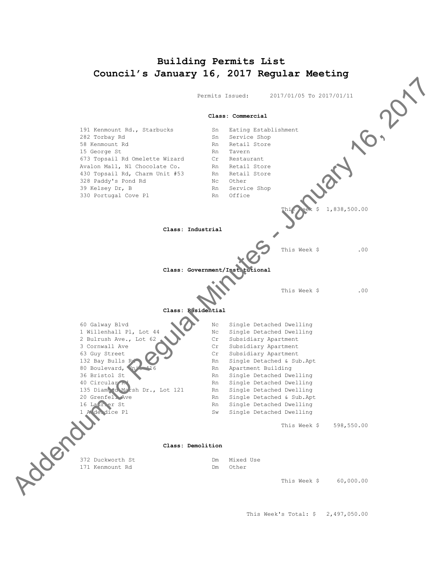# **Building Permits List**

<span id="page-7-0"></span>

This Week's Total: \$ 2,497,050.00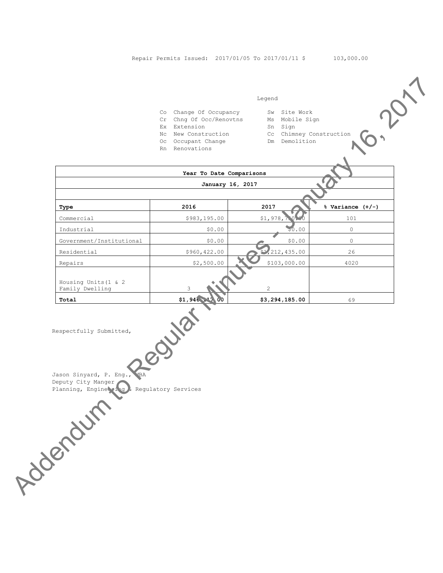#### Legend

- Co Change Of Occupancy Sw Site Work
- Cr Chng Of Occ/Renovtns Ms Mobile Sign
- Ex Extension Sn Sign
- 
- Oc Occupant Change Month Dm Demolition Rn Renovations
- 

|                                         | Co Change Of Occupancy<br>Cr Chng Of Occ/Renovtns<br>Ex Extension<br>Nc New Construction<br>Oc Occupant Change<br>Rn Renovations | Sw Site Work<br>Ms Mobile Sign<br>Sn Sign<br>Cc Chimney Construction<br>Dm Demolition |                      |
|-----------------------------------------|----------------------------------------------------------------------------------------------------------------------------------|---------------------------------------------------------------------------------------|----------------------|
|                                         | Year To Date Comparisons                                                                                                         |                                                                                       |                      |
|                                         | January 16, 2017                                                                                                                 |                                                                                       |                      |
|                                         |                                                                                                                                  |                                                                                       |                      |
| Type                                    | 2016                                                                                                                             | 2017                                                                                  | $%$ Variance $(+/-)$ |
| Commercial                              | \$983,195.00                                                                                                                     | \$1,978,                                                                              | 101                  |
| Industrial                              | \$0.00                                                                                                                           | 50.00                                                                                 | $\circ$              |
| Government/Institutional                | \$0.00                                                                                                                           | \$0.00                                                                                | $\circ$              |
| Residential                             | \$960,422.00                                                                                                                     | \$1,212,435.00                                                                        | 26                   |
| Repairs                                 | \$2,500.00                                                                                                                       | \$103,000.00                                                                          | 4020                 |
| Housing Units (1 & 2<br>Family Dwelling | 3                                                                                                                                | $\overline{c}$                                                                        |                      |
| Total                                   | \$1,946<br>. 00                                                                                                                  | \$3,294,185.00                                                                        | 69                   |
|                                         | OUTON<br>ACCEPTS AND RESIDENCE OF REGULARIZED SEVICES                                                                            |                                                                                       |                      |

**EXERCISE 1946,217.00 \$3,294,185.00 \$3,294,185.00 \$3,294,185.00** 

Jason Sinyard, P. Eng., MBA Deputy City Manger<br>Planning, Engine Planning, Engineering & Regulatory Services